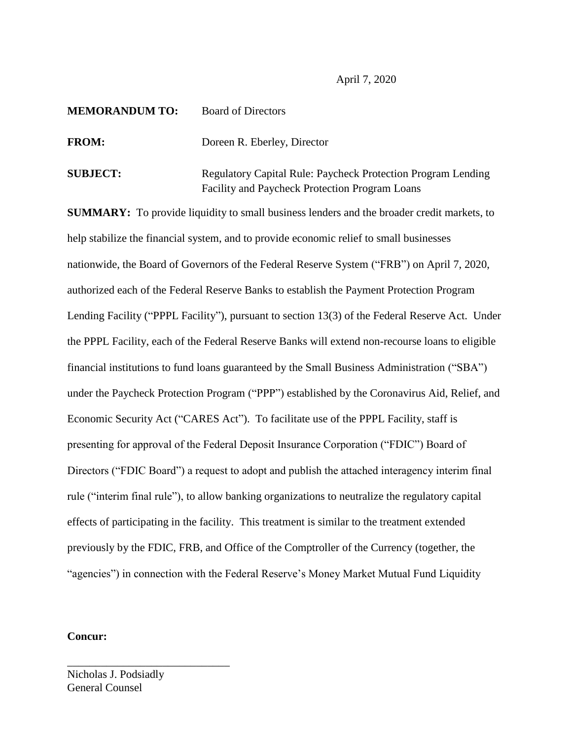April 7, 2020

| <b>MEMORANDUM TO:</b> | <b>Board of Directors</b>                                                                                             |
|-----------------------|-----------------------------------------------------------------------------------------------------------------------|
| <b>FROM:</b>          | Doreen R. Eberley, Director                                                                                           |
| <b>SUBJECT:</b>       | <b>Regulatory Capital Rule: Paycheck Protection Program Lending</b><br>Facility and Paycheck Protection Program Loans |

**SUMMARY:** To provide liquidity to small business lenders and the broader credit markets, to help stabilize the financial system, and to provide economic relief to small businesses nationwide, the Board of Governors of the Federal Reserve System ("FRB") on April 7, 2020, authorized each of the Federal Reserve Banks to establish the Payment Protection Program Lending Facility ("PPPL Facility"), pursuant to section 13(3) of the Federal Reserve Act. Under the PPPL Facility, each of the Federal Reserve Banks will extend non-recourse loans to eligible financial institutions to fund loans guaranteed by the Small Business Administration ("SBA") under the Paycheck Protection Program ("PPP") established by the Coronavirus Aid, Relief, and Economic Security Act ("CARES Act"). To facilitate use of the PPPL Facility, staff is presenting for approval of the Federal Deposit Insurance Corporation ("FDIC") Board of Directors ("FDIC Board") a request to adopt and publish the attached interagency interim final rule ("interim final rule"), to allow banking organizations to neutralize the regulatory capital effects of participating in the facility. This treatment is similar to the treatment extended previously by the FDIC, FRB, and Office of the Comptroller of the Currency (together, the "agencies") in connection with the Federal Reserve's Money Market Mutual Fund Liquidity

# **Concur:**

Nicholas J. Podsiadly General Counsel

\_\_\_\_\_\_\_\_\_\_\_\_\_\_\_\_\_\_\_\_\_\_\_\_\_\_\_\_\_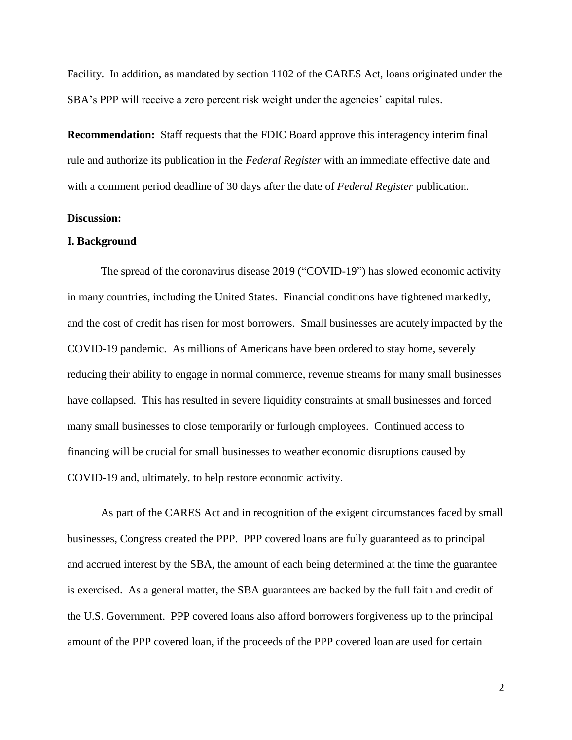Facility. In addition, as mandated by section 1102 of the CARES Act, loans originated under the SBA's PPP will receive a zero percent risk weight under the agencies' capital rules.

**Recommendation:** Staff requests that the FDIC Board approve this interagency interim final rule and authorize its publication in the *Federal Register* with an immediate effective date and with a comment period deadline of 30 days after the date of *Federal Register* publication.

# **Discussion:**

#### **I. Background**

The spread of the coronavirus disease 2019 ("COVID-19") has slowed economic activity in many countries, including the United States. Financial conditions have tightened markedly, and the cost of credit has risen for most borrowers. Small businesses are acutely impacted by the COVID-19 pandemic. As millions of Americans have been ordered to stay home, severely reducing their ability to engage in normal commerce, revenue streams for many small businesses have collapsed. This has resulted in severe liquidity constraints at small businesses and forced many small businesses to close temporarily or furlough employees. Continued access to financing will be crucial for small businesses to weather economic disruptions caused by COVID-19 and, ultimately, to help restore economic activity.

As part of the CARES Act and in recognition of the exigent circumstances faced by small businesses, Congress created the PPP. PPP covered loans are fully guaranteed as to principal and accrued interest by the SBA, the amount of each being determined at the time the guarantee is exercised. As a general matter, the SBA guarantees are backed by the full faith and credit of the U.S. Government. PPP covered loans also afford borrowers forgiveness up to the principal amount of the PPP covered loan, if the proceeds of the PPP covered loan are used for certain

2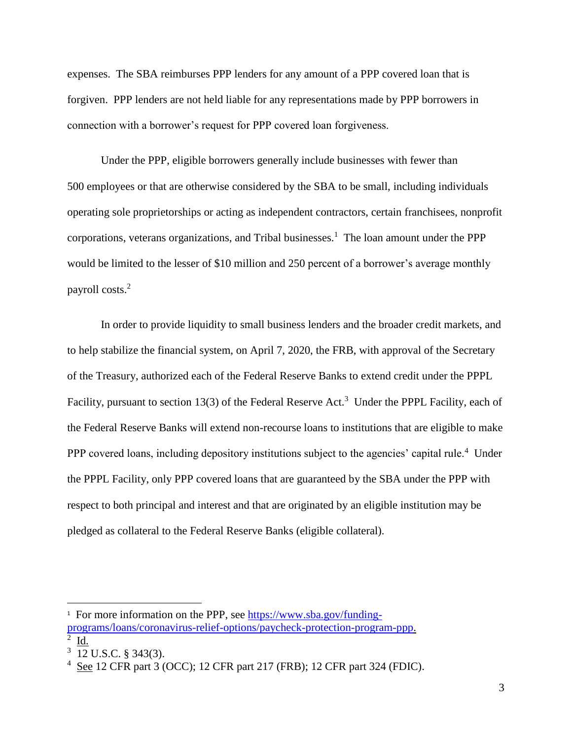expenses. The SBA reimburses PPP lenders for any amount of a PPP covered loan that is forgiven. PPP lenders are not held liable for any representations made by PPP borrowers in connection with a borrower's request for PPP covered loan forgiveness.

Under the PPP, eligible borrowers generally include businesses with fewer than 500 employees or that are otherwise considered by the SBA to be small, including individuals operating sole proprietorships or acting as independent contractors, certain franchisees, nonprofit corporations, veterans organizations, and Tribal businesses.<sup>1</sup> The loan amount under the PPP would be limited to the lesser of \$10 million and 250 percent of a borrower's average monthly payroll costs.<sup>2</sup>

In order to provide liquidity to small business lenders and the broader credit markets, and to help stabilize the financial system, on April 7, 2020, the FRB, with approval of the Secretary of the Treasury, authorized each of the Federal Reserve Banks to extend credit under the PPPL Facility, pursuant to section 13(3) of the Federal Reserve Act.<sup>3</sup> Under the PPPL Facility, each of the Federal Reserve Banks will extend non-recourse loans to institutions that are eligible to make PPP covered loans, including depository institutions subject to the agencies' capital rule.<sup>4</sup> Under the PPPL Facility, only PPP covered loans that are guaranteed by the SBA under the PPP with respect to both principal and interest and that are originated by an eligible institution may be pledged as collateral to the Federal Reserve Banks (eligible collateral).

l

<sup>&</sup>lt;sup>1</sup> For more information on the PPP, see [https://www.sba.gov/funding](https://www.sba.gov/funding-programs/loans/coronavirus-relief-options/paycheck-protection-program-ppp)[programs/loans/coronavirus-relief-options/paycheck-protection-program-ppp.](https://www.sba.gov/funding-programs/loans/coronavirus-relief-options/paycheck-protection-program-ppp) 2 Id.

 $3$  12 U.S.C. § 343(3).

 $4 \text{ See } 12 \text{ CFR part } 3 \text{ (OCC)}$ ; 12 CFR part 217 (FRB); 12 CFR part 324 (FDIC).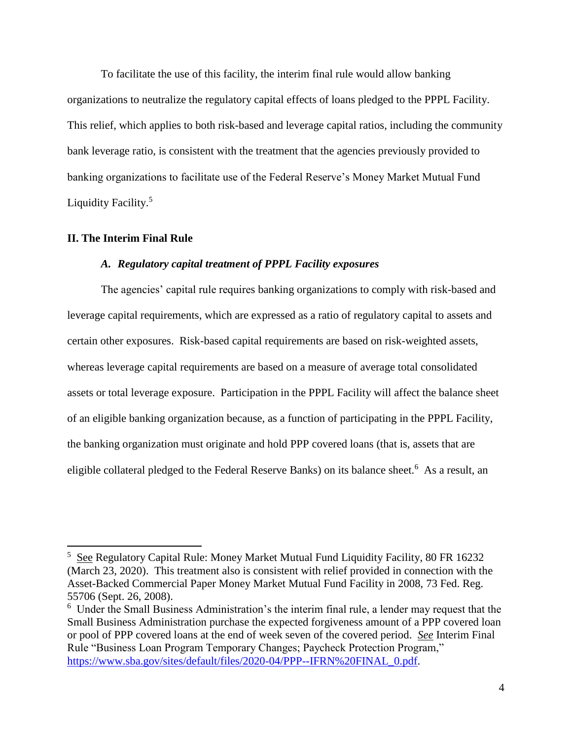To facilitate the use of this facility, the interim final rule would allow banking organizations to neutralize the regulatory capital effects of loans pledged to the PPPL Facility. This relief, which applies to both risk-based and leverage capital ratios, including the community bank leverage ratio, is consistent with the treatment that the agencies previously provided to banking organizations to facilitate use of the Federal Reserve's Money Market Mutual Fund Liquidity Facility.<sup>5</sup>

## **II. The Interim Final Rule**

l

#### *A. Regulatory capital treatment of PPPL Facility exposures*

The agencies' capital rule requires banking organizations to comply with risk-based and leverage capital requirements, which are expressed as a ratio of regulatory capital to assets and certain other exposures. Risk-based capital requirements are based on risk-weighted assets, whereas leverage capital requirements are based on a measure of average total consolidated assets or total leverage exposure. Participation in the PPPL Facility will affect the balance sheet of an eligible banking organization because, as a function of participating in the PPPL Facility, the banking organization must originate and hold PPP covered loans (that is, assets that are eligible collateral pledged to the Federal Reserve Banks) on its balance sheet.<sup>6</sup> As a result, an

<sup>&</sup>lt;sup>5</sup> See Regulatory Capital Rule: Money Market Mutual Fund Liquidity Facility, 80 FR 16232 (March 23, 2020). This treatment also is consistent with relief provided in connection with the Asset-Backed Commercial Paper Money Market Mutual Fund Facility in 2008, 73 Fed. Reg. 55706 (Sept. 26, 2008).

<sup>&</sup>lt;sup>6</sup> Under the Small Business Administration's the interim final rule, a lender may request that the Small Business Administration purchase the expected forgiveness amount of a PPP covered loan or pool of PPP covered loans at the end of week seven of the covered period. *See* Interim Final Rule "Business Loan Program Temporary Changes; Paycheck Protection Program," [https://www.sba.gov/sites/default/files/2020-04/PPP--IFRN%20FINAL\\_0.pdf.](https://www.sba.gov/sites/default/files/2020-04/PPP--IFRN%20FINAL_0.pdf)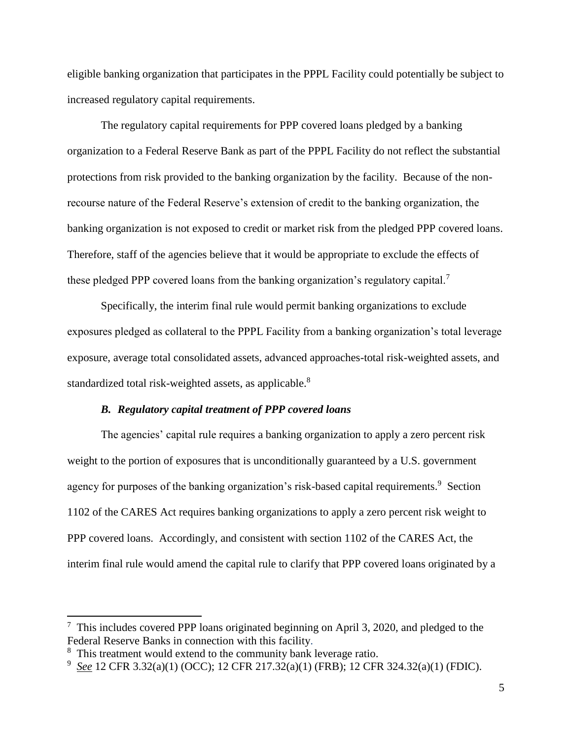eligible banking organization that participates in the PPPL Facility could potentially be subject to increased regulatory capital requirements.

The regulatory capital requirements for PPP covered loans pledged by a banking organization to a Federal Reserve Bank as part of the PPPL Facility do not reflect the substantial protections from risk provided to the banking organization by the facility. Because of the nonrecourse nature of the Federal Reserve's extension of credit to the banking organization, the banking organization is not exposed to credit or market risk from the pledged PPP covered loans. Therefore, staff of the agencies believe that it would be appropriate to exclude the effects of these pledged PPP covered loans from the banking organization's regulatory capital.<sup>7</sup>

Specifically, the interim final rule would permit banking organizations to exclude exposures pledged as collateral to the PPPL Facility from a banking organization's total leverage exposure, average total consolidated assets, advanced approaches-total risk-weighted assets, and standardized total risk-weighted assets, as applicable.<sup>8</sup>

#### *B. Regulatory capital treatment of PPP covered loans*

The agencies' capital rule requires a banking organization to apply a zero percent risk weight to the portion of exposures that is unconditionally guaranteed by a U.S. government agency for purposes of the banking organization's risk-based capital requirements.<sup>9</sup> Section 1102 of the CARES Act requires banking organizations to apply a zero percent risk weight to PPP covered loans. Accordingly, and consistent with section 1102 of the CARES Act, the interim final rule would amend the capital rule to clarify that PPP covered loans originated by a

l

 $7$  This includes covered PPP loans originated beginning on April 3, 2020, and pledged to the Federal Reserve Banks in connection with this facility.

<sup>&</sup>lt;sup>8</sup> This treatment would extend to the community bank leverage ratio.

<sup>9</sup> *See* 12 CFR 3.32(a)(1) (OCC); 12 CFR 217.32(a)(1) (FRB); 12 CFR 324.32(a)(1) (FDIC).